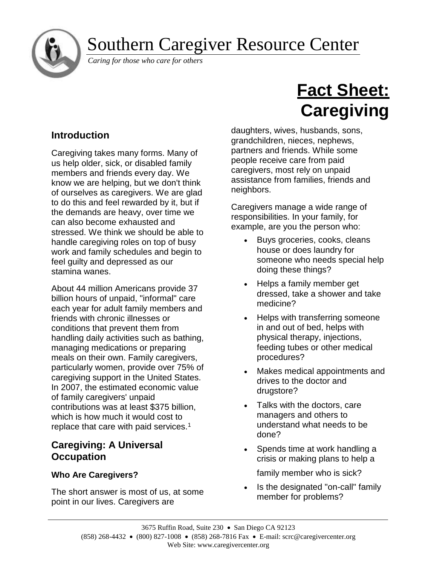

# Southern Caregiver Resource Center

*Caring for those who care for others*

# **Introduction**

Caregiving takes many forms. Many of us help older, sick, or disabled family members and friends every day. We know we are helping, but we don't think of ourselves as caregivers. We are glad to do this and feel rewarded by it, but if the demands are heavy, over time we can also become exhausted and stressed. We think we should be able to handle caregiving roles on top of busy work and family schedules and begin to feel guilty and depressed as our stamina wanes.

About 44 million Americans provide 37 billion hours of unpaid, "informal" care each year for adult family members and friends with chronic illnesses or conditions that prevent them from handling daily activities such as bathing, managing medications or preparing meals on their own. Family caregivers, particularly women, provide over 75% of caregiving support in the United States. In 2007, the estimated economic value of family caregivers' unpaid contributions was at least \$375 billion, which is how much it would cost to replace that care with paid services.<sup>1</sup>

## **Caregiving: A Universal Occupation**

## **Who Are Caregivers?**

The short answer is most of us, at some point in our lives. Caregivers are

# **Fact Sheet: Caregiving**

daughters, wives, husbands, sons, grandchildren, nieces, nephews, partners and friends. While some people receive care from paid caregivers, most rely on unpaid assistance from families, friends and neighbors.

Caregivers manage a wide range of responsibilities. In your family, for example, are you the person who:

- Buys groceries, cooks, cleans house or does laundry for someone who needs special help doing these things?
- Helps a family member get dressed, take a shower and take medicine?
- Helps with transferring someone in and out of bed, helps with physical therapy, injections, feeding tubes or other medical procedures?
- Makes medical appointments and drives to the doctor and drugstore?
- Talks with the doctors, care managers and others to understand what needs to be done?
- Spends time at work handling a crisis or making plans to help a

family member who is sick?

Is the designated "on-call" family member for problems?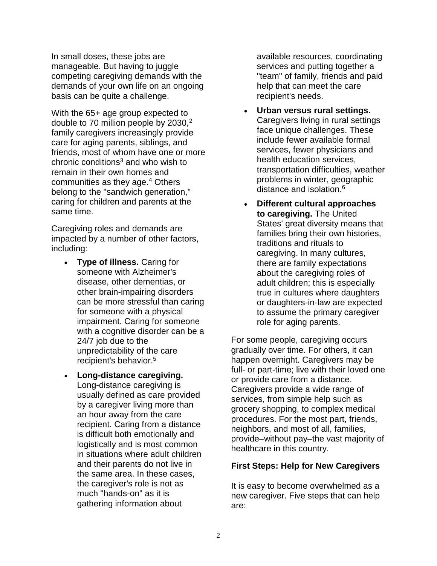In small doses, these jobs are manageable. But having to juggle competing caregiving demands with the demands of your own life on an ongoing basis can be quite a challenge.

With the 65+ age group expected to double to 70 million people by 2030,<sup>2</sup> family caregivers increasingly provide care for aging parents, siblings, and friends, most of whom have one or more chronic conditions $3$  and who wish to remain in their own homes and communities as they age.<sup>4</sup> Others belong to the "sandwich generation," caring for children and parents at the same time.

Caregiving roles and demands are impacted by a number of other factors, including:

- **Type of illness.** Caring for someone with Alzheimer's disease, other dementias, or other brain-impairing disorders can be more stressful than caring for someone with a physical impairment. Caring for someone with a cognitive disorder can be a 24/7 job due to the unpredictability of the care recipient's behavior. 5
- **Long-distance caregiving.** Long-distance caregiving is usually defined as care provided by a caregiver living more than an hour away from the care recipient. Caring from a distance is difficult both emotionally and logistically and is most common in situations where adult children and their parents do not live in the same area. In these cases, the caregiver's role is not as much "hands-on" as it is gathering information about

available resources, coordinating services and putting together a "team" of family, friends and paid help that can meet the care recipient's needs.

- **Urban versus rural settings.**  Caregivers living in rural settings face unique challenges. These include fewer available formal services, fewer physicians and health education services, transportation difficulties, weather problems in winter, geographic distance and isolation.<sup>6</sup>
- **Different cultural approaches to caregiving.** The United States' great diversity means that families bring their own histories, traditions and rituals to caregiving. In many cultures, there are family expectations about the caregiving roles of adult children; this is especially true in cultures where daughters or daughters-in-law are expected to assume the primary caregiver role for aging parents.

For some people, caregiving occurs gradually over time. For others, it can happen overnight. Caregivers may be full- or part-time; live with their loved one or provide care from a distance. Caregivers provide a wide range of services, from simple help such as grocery shopping, to complex medical procedures. For the most part, friends, neighbors, and most of all, families, provide–without pay–the vast majority of healthcare in this country.

#### **First Steps: Help for New Caregivers**

It is easy to become overwhelmed as a new caregiver. Five steps that can help are: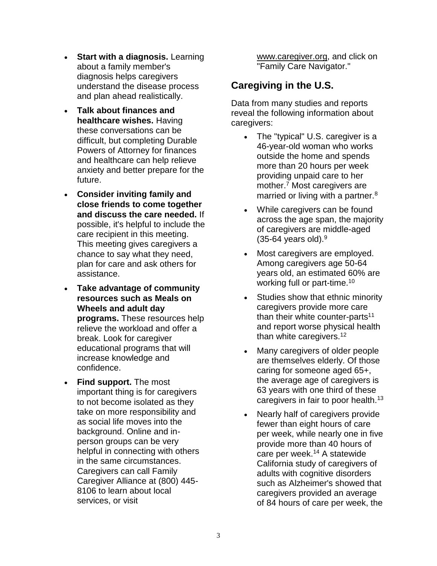- **Start with a diagnosis.** Learning about a family member's diagnosis helps caregivers understand the disease process and plan ahead realistically.
- **Talk about finances and healthcare wishes.** Having these conversations can be difficult, but completing Durable Powers of Attorney for finances and healthcare can help relieve anxiety and better prepare for the future.
- **Consider inviting family and close friends to come together and discuss the care needed.** If possible, it's helpful to include the care recipient in this meeting. This meeting gives caregivers a chance to say what they need, plan for care and ask others for assistance.
- **Take advantage of community resources such as Meals on Wheels and adult day programs.** These resources help relieve the workload and offer a break. Look for caregiver educational programs that will increase knowledge and confidence.
- **Find support.** The most important thing is for caregivers to not become isolated as they take on more responsibility and as social life moves into the background. Online and inperson groups can be very helpful in connecting with others in the same circumstances. Caregivers can call Family Caregiver Alliance at (800) 445- 8106 to learn about local services, or visit

[www.caregiver.org,](https://www.caregiver.org/) and click on "Family Care Navigator."

# **Caregiving in the U.S.**

Data from many studies and reports reveal the following information about caregivers:

- The "typical" U.S. caregiver is a 46-year-old woman who works outside the home and spends more than 20 hours per week providing unpaid care to her mother.<sup>7</sup> Most caregivers are married or living with a partner.<sup>8</sup>
- While caregivers can be found across the age span, the majority of caregivers are middle-aged  $(35-64 \text{ years old}).<sup>9</sup>$
- Most caregivers are employed. Among caregivers age 50-64 years old, an estimated 60% are working full or part-time.<sup>10</sup>
- Studies show that ethnic minority caregivers provide more care than their white counter-parts $11$ and report worse physical health than white caregivers.<sup>12</sup>
- Many caregivers of older people are themselves elderly. Of those caring for someone aged 65+, the average age of caregivers is 63 years with one third of these caregivers in fair to poor health.<sup>13</sup>
- Nearly half of caregivers provide fewer than eight hours of care per week, while nearly one in five provide more than 40 hours of care per week.<sup>14</sup> A statewide California study of caregivers of adults with cognitive disorders such as Alzheimer's showed that caregivers provided an average of 84 hours of care per week, the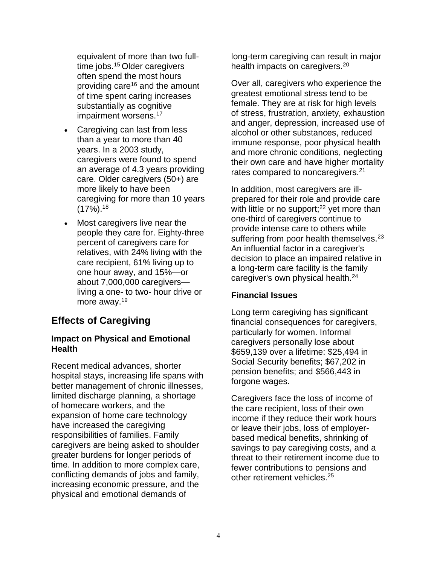equivalent of more than two fulltime jobs.<sup>15</sup> Older caregivers often spend the most hours providing care<sup>16</sup> and the amount of time spent caring increases substantially as cognitive impairment worsens.<sup>17</sup>

- Caregiving can last from less than a year to more than 40 years. In a 2003 study, caregivers were found to spend an average of 4.3 years providing care. Older caregivers (50+) are more likely to have been caregiving for more than 10 years  $(17\%)$ .<sup>18</sup>
- Most caregivers live near the people they care for. Eighty-three percent of caregivers care for relatives, with 24% living with the care recipient, 61% living up to one hour away, and 15%—or about 7,000,000 caregivers living a one- to two- hour drive or more away.<sup>19</sup>

## **Effects of Caregiving**

#### **Impact on Physical and Emotional Health**

Recent medical advances, shorter hospital stays, increasing life spans with better management of chronic illnesses, limited discharge planning, a shortage of homecare workers, and the expansion of home care technology have increased the caregiving responsibilities of families. Family caregivers are being asked to shoulder greater burdens for longer periods of time. In addition to more complex care, conflicting demands of jobs and family, increasing economic pressure, and the physical and emotional demands of

long-term caregiving can result in major health impacts on caregivers.<sup>20</sup>

Over all, caregivers who experience the greatest emotional stress tend to be female. They are at risk for high levels of stress, frustration, anxiety, exhaustion and anger, depression, increased use of alcohol or other substances, reduced immune response, poor physical health and more chronic conditions, neglecting their own care and have higher mortality rates compared to noncaregivers.<sup>21</sup>

In addition, most caregivers are illprepared for their role and provide care with little or no support; $22$  yet more than one-third of caregivers continue to provide intense care to others while suffering from poor health themselves.<sup>23</sup> An influential factor in a caregiver's decision to place an impaired relative in a long-term care facility is the family caregiver's own physical health.<sup>24</sup>

#### **Financial Issues**

Long term caregiving has significant financial consequences for caregivers, particularly for women. Informal caregivers personally lose about \$659,139 over a lifetime: \$25,494 in Social Security benefits; \$67,202 in pension benefits; and \$566,443 in forgone wages.

Caregivers face the loss of income of the care recipient, loss of their own income if they reduce their work hours or leave their jobs, loss of employerbased medical benefits, shrinking of savings to pay caregiving costs, and a threat to their retirement income due to fewer contributions to pensions and other retirement vehicles.25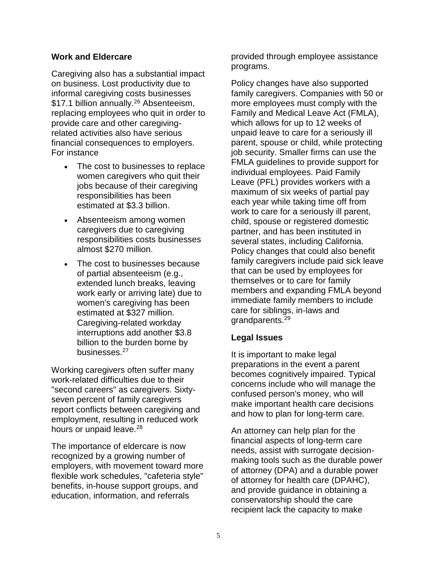#### **Work and Eldercare**

Caregiving also has a substantial impact on business. Lost productivity due to informal caregiving costs businesses \$17.1 billion annually.<sup>26</sup> Absenteeism, replacing employees who quit in order to provide care and other caregivingrelated activities also have serious financial consequences to employers. For instance

- The cost to businesses to replace women caregivers who quit their jobs because of their caregiving responsibilities has been estimated at \$3.3 billion.
- Absenteeism among women caregivers due to caregiving responsibilities costs businesses almost \$270 million.
- The cost to businesses because of partial absenteeism (e.g., extended lunch breaks, leaving work early or arriving late) due to women's caregiving has been estimated at \$327 million. Caregiving-related workday interruptions add another \$3.8 billion to the burden borne by businesses.<sup>27</sup>

Working caregivers often suffer many work-related difficulties due to their "second careers" as caregivers. Sixtyseven percent of family caregivers report conflicts between caregiving and employment, resulting in reduced work hours or unpaid leave.<sup>28</sup>

The importance of eldercare is now recognized by a growing number of employers, with movement toward more flexible work schedules, "cafeteria style" benefits, in-house support groups, and education, information, and referrals

provided through employee assistance programs.

Policy changes have also supported family caregivers. Companies with 50 or more employees must comply with the Family and Medical Leave Act (FMLA), which allows for up to 12 weeks of unpaid leave to care for a seriously ill parent, spouse or child, while protecting job security. Smaller firms can use the FMLA guidelines to provide support for individual employees. Paid Family Leave (PFL) provides workers with a maximum of six weeks of partial pay each year while taking time off from work to care for a seriously ill parent, child, spouse or registered domestic partner, and has been instituted in several states, including California. Policy changes that could also benefit family caregivers include paid sick leave that can be used by employees for themselves or to care for family members and expanding FMLA beyond immediate family members to include care for siblings, in-laws and grandparents.<sup>29</sup>

#### **Legal Issues**

It is important to make legal preparations in the event a parent becomes cognitively impaired. Typical concerns include who will manage the confused person's money, who will make important health care decisions and how to plan for long-term care.

An attorney can help plan for the financial aspects of long-term care needs, assist with surrogate decisionmaking tools such as the durable power of attorney (DPA) and a durable power of attorney for health care (DPAHC), and provide guidance in obtaining a conservatorship should the care recipient lack the capacity to make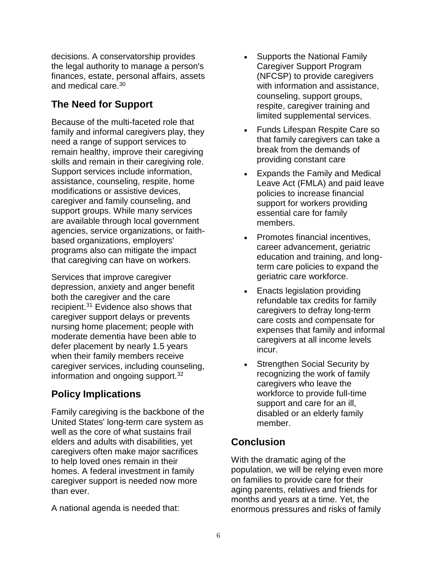decisions. A conservatorship provides the legal authority to manage a person's finances, estate, personal affairs, assets and medical care.<sup>30</sup>

## **The Need for Support**

Because of the multi-faceted role that family and informal caregivers play, they need a range of support services to remain healthy, improve their caregiving skills and remain in their caregiving role. Support services include information, assistance, counseling, respite, home modifications or assistive devices, caregiver and family counseling, and support groups. While many services are available through local government agencies, service organizations, or faithbased organizations, employers' programs also can mitigate the impact that caregiving can have on workers.

Services that improve caregiver depression, anxiety and anger benefit both the caregiver and the care recipient.<sup>31</sup> Evidence also shows that caregiver support delays or prevents nursing home placement; people with moderate dementia have been able to defer placement by nearly 1.5 years when their family members receive caregiver services, including counseling, information and ongoing support. $32$ 

# **Policy Implications**

Family caregiving is the backbone of the United States' long-term care system as well as the core of what sustains frail elders and adults with disabilities, yet caregivers often make major sacrifices to help loved ones remain in their homes. A federal investment in family caregiver support is needed now more than ever.

A national agenda is needed that:

- Supports the National Family Caregiver Support Program (NFCSP) to provide caregivers with information and assistance, counseling, support groups, respite, caregiver training and limited supplemental services.
- Funds Lifespan Respite Care so that family caregivers can take a break from the demands of providing constant care
- Expands the Family and Medical Leave Act (FMLA) and paid leave policies to increase financial support for workers providing essential care for family members.
- Promotes financial incentives, career advancement, geriatric education and training, and longterm care policies to expand the geriatric care workforce.
- Enacts legislation providing refundable tax credits for family caregivers to defray long-term care costs and compensate for expenses that family and informal caregivers at all income levels incur.
- Strengthen Social Security by recognizing the work of family caregivers who leave the workforce to provide full-time support and care for an ill, disabled or an elderly family member.

## **Conclusion**

With the dramatic aging of the population, we will be relying even more on families to provide care for their aging parents, relatives and friends for months and years at a time. Yet, the enormous pressures and risks of family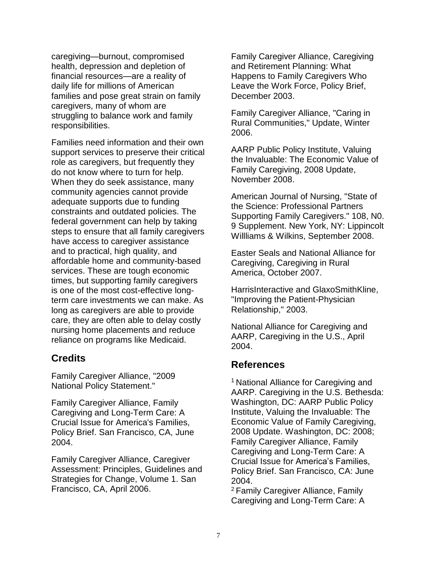caregiving—burnout, compromised health, depression and depletion of financial resources—are a reality of daily life for millions of American families and pose great strain on family caregivers, many of whom are struggling to balance work and family responsibilities.

Families need information and their own support services to preserve their critical role as caregivers, but frequently they do not know where to turn for help. When they do seek assistance, many community agencies cannot provide adequate supports due to funding constraints and outdated policies. The federal government can help by taking steps to ensure that all family caregivers have access to caregiver assistance and to practical, high quality, and affordable home and community-based services. These are tough economic times, but supporting family caregivers is one of the most cost-effective longterm care investments we can make. As long as caregivers are able to provide care, they are often able to delay costly nursing home placements and reduce reliance on programs like Medicaid.

## **Credits**

Family Caregiver Alliance, "2009 National Policy Statement."

Family Caregiver Alliance, Family Caregiving and Long-Term Care: A Crucial Issue for America's Families, Policy Brief. San Francisco, CA, June 2004.

Family Caregiver Alliance, Caregiver Assessment: Principles, Guidelines and Strategies for Change, Volume 1. San Francisco, CA, April 2006.

Family Caregiver Alliance, Caregiving and Retirement Planning: What Happens to Family Caregivers Who Leave the Work Force, Policy Brief, December 2003.

Family Caregiver Alliance, "Caring in Rural Communities," Update, Winter 2006.

AARP Public Policy Institute, Valuing the Invaluable: The Economic Value of Family Caregiving, 2008 Update, November 2008.

American Journal of Nursing, "State of the Science: Professional Partners Supporting Family Caregivers." 108, N0. 9 Supplement. New York, NY: Lippincolt Willliams & Wilkins, September 2008.

Easter Seals and National Alliance for Caregiving, Caregiving in Rural America, October 2007.

HarrisInteractive and GlaxoSmithKline, "Improving the Patient-Physician Relationship," 2003.

National Alliance for Caregiving and AARP, Caregiving in the U.S., April 2004.

#### **References**

<sup>1</sup> National Alliance for Caregiving and AARP. Caregiving in the U.S. Bethesda: Washington, DC: AARP Public Policy Institute, Valuing the Invaluable: The Economic Value of Family Caregiving, 2008 Update. Washington, DC: 2008; Family Caregiver Alliance, Family Caregiving and Long-Term Care: A Crucial Issue for America's Families, Policy Brief. San Francisco, CA: June 2004.

<sup>2</sup> Family Caregiver Alliance, Family Caregiving and Long-Term Care: A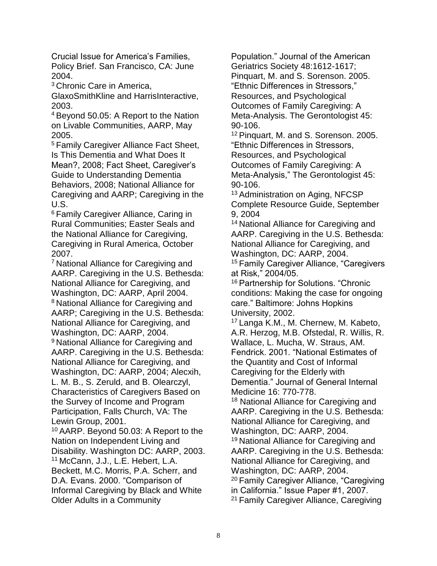Crucial Issue for America's Families, Policy Brief. San Francisco, CA: June 2004.

<sup>3</sup>Chronic Care in America,

GlaxoSmithKline and HarrisInteractive, 2003.

<sup>4</sup>Beyond 50.05: A Report to the Nation on Livable Communities, AARP, May 2005.

<sup>5</sup>Family Caregiver Alliance Fact Sheet, Is This Dementia and What Does It Mean?, 2008; Fact Sheet, Caregiver's Guide to Understanding Dementia Behaviors, 2008; National Alliance for Caregiving and AARP; Caregiving in the U.S.

<sup>6</sup> Family Caregiver Alliance, Caring in Rural Communities; Easter Seals and the National Alliance for Caregiving, Caregiving in Rural America, October 2007.

<sup>7</sup>National Alliance for Caregiving and AARP. Caregiving in the U.S. Bethesda: National Alliance for Caregiving, and Washington, DC: AARP, April 2004. <sup>8</sup> National Alliance for Caregiving and AARP; Caregiving in the U.S. Bethesda: National Alliance for Caregiving, and Washington, DC: AARP, 2004.

<sup>9</sup> National Alliance for Caregiving and AARP. Caregiving in the U.S. Bethesda: National Alliance for Caregiving, and

Washington, DC: AARP, 2004; Alecxih, L. M. B., S. Zeruld, and B. Olearczyl, Characteristics of Caregivers Based on the Survey of Income and Program Participation, Falls Church, VA: The Lewin Group, 2001.

<sup>10</sup>AARP. Beyond 50.03: A Report to the Nation on Independent Living and Disability. Washington DC: AARP, 2003. <sup>11</sup>McCann, J.J., L.E. Hebert, L.A. Beckett, M.C. Morris, P.A. Scherr, and D.A. Evans. 2000. "Comparison of Informal Caregiving by Black and White Older Adults in a Community

Population." Journal of the American Geriatrics Society 48:1612-1617; Pinquart, M. and S. Sorenson. 2005. "Ethnic Differences in Stressors," Resources, and Psychological Outcomes of Family Caregiving: A Meta-Analysis. The Gerontologist 45: 90-106.

<sup>12</sup> Pinquart, M. and S. Sorenson. 2005. "Ethnic Differences in Stressors, Resources, and Psychological Outcomes of Family Caregiving: A Meta-Analysis," The Gerontologist 45: 90-106.

<sup>13</sup> Administration on Aging, NFCSP Complete Resource Guide, September 9, 2004

<sup>14</sup> National Alliance for Caregiving and AARP. Caregiving in the U.S. Bethesda: National Alliance for Caregiving, and Washington, DC: AARP, 2004.

<sup>15</sup> Family Caregiver Alliance, "Caregivers at Risk," 2004/05.

<sup>16</sup> Partnership for Solutions. "Chronic conditions: Making the case for ongoing care." Baltimore: Johns Hopkins University, 2002.

<sup>17</sup> Langa K.M., M. Chernew, M. Kabeto, A.R. Herzog, M.B. Ofstedal, R. Willis, R. Wallace, L. Mucha, W. Straus, AM. Fendrick. 2001. "National Estimates of the Quantity and Cost of Informal Caregiving for the Elderly with Dementia." Journal of General Internal Medicine 16: 770-778.

<sup>18</sup> National Alliance for Caregiving and AARP. Caregiving in the U.S. Bethesda: National Alliance for Caregiving, and Washington, DC: AARP, 2004.

<sup>19</sup> National Alliance for Caregiving and AARP. Caregiving in the U.S. Bethesda: National Alliance for Caregiving, and Washington, DC: AARP, 2004.

<sup>20</sup> Family Caregiver Alliance, "Caregiving

in California." Issue Paper #1, 2007.

<sup>21</sup> Family Caregiver Alliance, Caregiving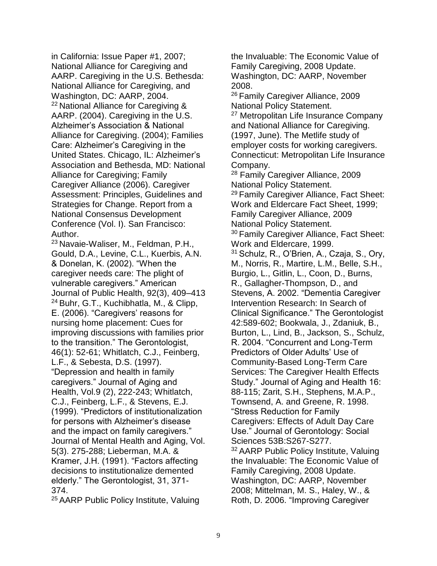in California: Issue Paper #1, 2007; National Alliance for Caregiving and AARP. Caregiving in the U.S. Bethesda: National Alliance for Caregiving, and Washington, DC: AARP, 2004. <sup>22</sup> National Alliance for Caregiving & AARP. (2004). Caregiving in the U.S. Alzheimer's Association & National Alliance for Caregiving. (2004); Families Care: Alzheimer's Caregiving in the United States. Chicago, IL: Alzheimer's Association and Bethesda, MD: National Alliance for Caregiving; Family Caregiver Alliance (2006). Caregiver Assessment: Principles, Guidelines and Strategies for Change. Report from a National Consensus Development Conference (Vol. I). San Francisco: Author.

<sup>23</sup> Navaie-Waliser, M., Feldman, P.H., Gould, D.A., Levine, C.L., Kuerbis, A.N. & Donelan, K. (2002). "When the caregiver needs care: The plight of vulnerable caregivers." American Journal of Public Health, 92(3), 409–413 <sup>24</sup> Buhr, G.T., Kuchibhatla, M., & Clipp, E. (2006). "Caregivers' reasons for nursing home placement: Cues for improving discussions with families prior to the transition." The Gerontologist, 46(1): 52-61; Whitlatch, C.J., Feinberg, L.F., & Sebesta, D.S. (1997). "Depression and health in family caregivers." Journal of Aging and Health, Vol.9 (2), 222-243; Whitlatch, C.J., Feinberg, L.F., & Stevens, E.J. (1999). "Predictors of institutionalization for persons with Alzheimer's disease and the impact on family caregivers." Journal of Mental Health and Aging, Vol. 5(3). 275-288; Lieberman, M.A. & Kramer, J.H. (1991). "Factors affecting decisions to institutionalize demented elderly." The Gerontologist, 31, 371- 374.

<sup>25</sup>AARP Public Policy Institute, Valuing

the Invaluable: The Economic Value of Family Caregiving, 2008 Update. Washington, DC: AARP, November 2008.

<sup>26</sup> Family Caregiver Alliance, 2009 National Policy Statement.

<sup>27</sup> Metropolitan Life Insurance Company and National Alliance for Caregiving. (1997, June). The Metlife study of employer costs for working caregivers. Connecticut: Metropolitan Life Insurance Company.

<sup>28</sup> Family Caregiver Alliance, 2009 National Policy Statement.

<sup>29</sup> Family Caregiver Alliance, Fact Sheet: Work and Eldercare Fact Sheet, 1999; Family Caregiver Alliance, 2009 National Policy Statement.

<sup>30</sup> Family Caregiver Alliance, Fact Sheet: Work and Eldercare, 1999.

<sup>31</sup> Schulz, R., O'Brien, A., Czaja, S., Ory, M., Norris, R., Martire, L.M., Belle, S.H., Burgio, L., Gitlin, L., Coon, D., Burns, R., Gallagher-Thompson, D., and Stevens, A. 2002. "Dementia Caregiver Intervention Research: In Search of Clinical Significance." The Gerontologist 42:589-602; Bookwala, J., Zdaniuk, B., Burton, L., Lind, B., Jackson, S., Schulz, R. 2004. "Concurrent and Long-Term Predictors of Older Adults' Use of Community-Based Long-Term Care Services: The Caregiver Health Effects Study." Journal of Aging and Health 16: 88-115; Zarit, S.H., Stephens, M.A.P., Townsend, A. and Greene, R. 1998. "Stress Reduction for Family Caregivers: Effects of Adult Day Care Use." Journal of Gerontology: Social Sciences 53B:S267-S277. <sup>32</sup> AARP Public Policy Institute, Valuing the Invaluable: The Economic Value of Family Caregiving, 2008 Update. Washington, DC: AARP, November 2008; Mittelman, M. S., Haley, W., & Roth, D. 2006. "Improving Caregiver